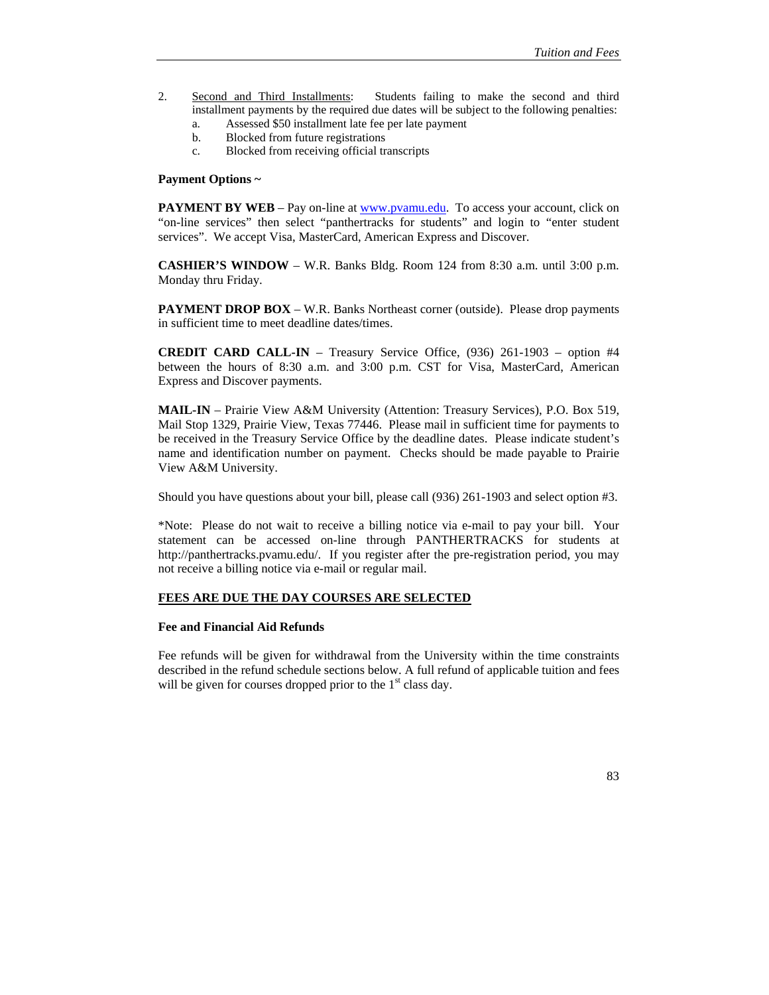- 2. Second and Third Installments: Students failing to make the second and third installment payments by the required due dates will be subject to the following penalties:
	- a. Assessed \$50 installment late fee per late payment
	- b. Blocked from future registrations
	- c. Blocked from receiving official transcripts

#### **Payment Options ~**

**PAYMENT BY WEB** – Pay on-line at www.pvamu.edu. To access your account, click on "on-line services" then select "panthertracks for students" and login to "enter student services". We accept Visa, MasterCard, American Express and Discover.

**CASHIER'S WINDOW** – W.R. Banks Bldg. Room 124 from 8:30 a.m. until 3:00 p.m. Monday thru Friday.

**PAYMENT DROP BOX** – W.R. Banks Northeast corner (outside). Please drop payments in sufficient time to meet deadline dates/times.

**CREDIT CARD CALL-IN** – Treasury Service Office, (936) 261-1903 – option #4 between the hours of 8:30 a.m. and 3:00 p.m. CST for Visa, MasterCard, American Express and Discover payments.

**MAIL-IN** – Prairie View A&M University (Attention: Treasury Services), P.O. Box 519, Mail Stop 1329, Prairie View, Texas 77446. Please mail in sufficient time for payments to be received in the Treasury Service Office by the deadline dates. Please indicate student's name and identification number on payment. Checks should be made payable to Prairie View A&M University.

Should you have questions about your bill, please call (936) 261-1903 and select option #3.

\*Note: Please do not wait to receive a billing notice via e-mail to pay your bill. Your statement can be accessed on-line through PANTHERTRACKS for students at http://panthertracks.pvamu.edu/. If you register after the pre-registration period, you may not receive a billing notice via e-mail or regular mail.

### **FEES ARE DUE THE DAY COURSES ARE SELECTED**

#### **Fee and Financial Aid Refunds**

Fee refunds will be given for withdrawal from the University within the time constraints described in the refund schedule sections below. A full refund of applicable tuition and fees will be given for courses dropped prior to the  $1<sup>st</sup>$  class day.

83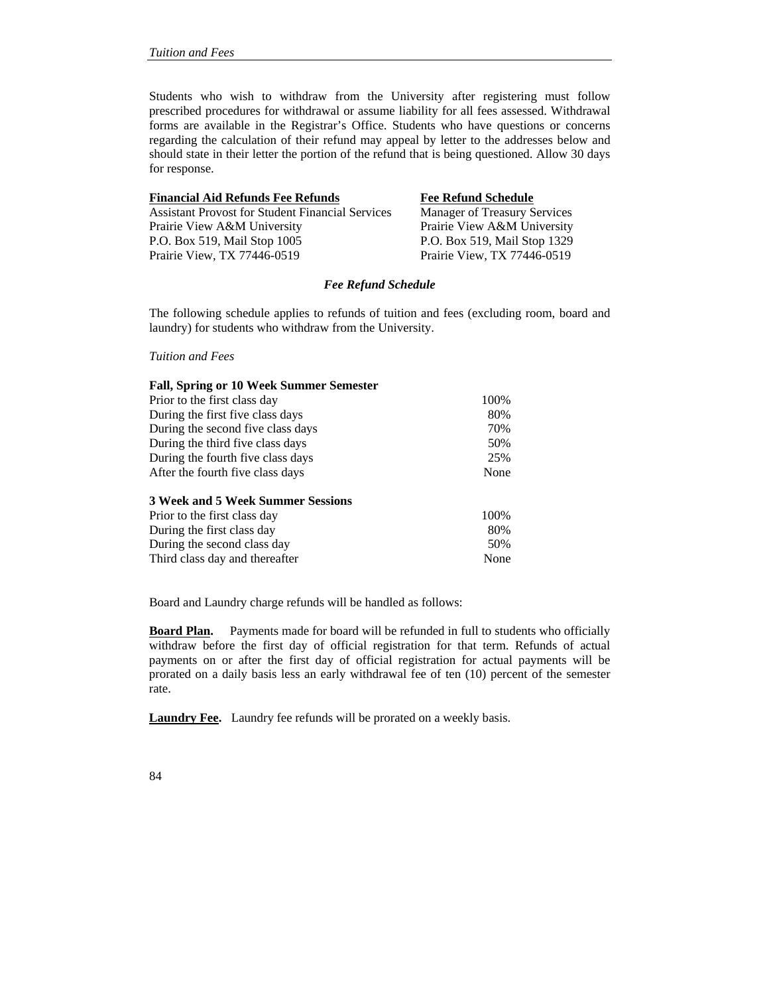Students who wish to withdraw from the University after registering must follow prescribed procedures for withdrawal or assume liability for all fees assessed. Withdrawal forms are available in the Registrar's Office. Students who have questions or concerns regarding the calculation of their refund may appeal by letter to the addresses below and should state in their letter the portion of the refund that is being questioned. Allow 30 days for response.

| <b>Financial Aid Refunds Fee Refunds</b>                | <b>Fee Refund Schedule</b>          |
|---------------------------------------------------------|-------------------------------------|
| <b>Assistant Provost for Student Financial Services</b> | <b>Manager of Treasury Services</b> |
| Prairie View A&M University                             | Prairie View A&M University         |
| P.O. Box 519, Mail Stop 1005                            | P.O. Box 519, Mail Stop 1329        |
| Prairie View, TX 77446-0519                             | Prairie View, TX 77446-0519         |

### *Fee Refund Schedule*

The following schedule applies to refunds of tuition and fees (excluding room, board and laundry) for students who withdraw from the University.

#### *Tuition and Fees*

| <b>Fall, Spring or 10 Week Summer Semester</b> |      |
|------------------------------------------------|------|
| Prior to the first class day                   | 100% |
| During the first five class days               | 80%  |
| During the second five class days              | 70%  |
| During the third five class days               | 50%  |
| During the fourth five class days              | 25%  |
| After the fourth five class days               | None |
| 3 Week and 5 Week Summer Sessions              |      |
| Prior to the first class day                   | 100% |
| During the first class day                     | 80%  |
| During the second class day                    | 50%  |
| Third class day and thereafter                 | None |

Board and Laundry charge refunds will be handled as follows:

**Board Plan.** Payments made for board will be refunded in full to students who officially withdraw before the first day of official registration for that term. Refunds of actual payments on or after the first day of official registration for actual payments will be prorated on a daily basis less an early withdrawal fee of ten (10) percent of the semester rate.

**Laundry Fee.** Laundry fee refunds will be prorated on a weekly basis.

84